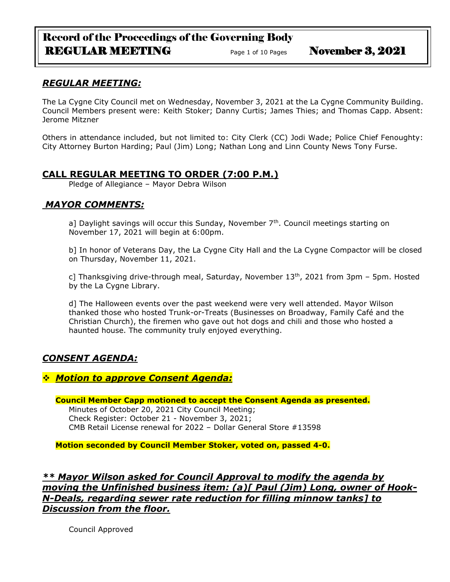# Record of the Proceedings of the Governing Body REGULAR MEETING Page 1 of 10 Pages November 3, 2021

# *REGULAR MEETING:*

The La Cygne City Council met on Wednesday, November 3, 2021 at the La Cygne Community Building. Council Members present were: Keith Stoker; Danny Curtis; James Thies; and Thomas Capp. Absent: Jerome Mitzner

Others in attendance included, but not limited to: City Clerk (CC) Jodi Wade; Police Chief Fenoughty: City Attorney Burton Harding; Paul (Jim) Long; Nathan Long and Linn County News Tony Furse.

## **CALL REGULAR MEETING TO ORDER (7:00 P.M.)**

Pledge of Allegiance – Mayor Debra Wilson

# *MAYOR COMMENTS:*

a] Daylight savings will occur this Sunday, November  $7<sup>th</sup>$ . Council meetings starting on November 17, 2021 will begin at 6:00pm.

b] In honor of Veterans Day, the La Cygne City Hall and the La Cygne Compactor will be closed on Thursday, November 11, 2021.

c] Thanksgiving drive-through meal, Saturday, November  $13<sup>th</sup>$ , 2021 from 3pm – 5pm. Hosted by the La Cygne Library.

d] The Halloween events over the past weekend were very well attended. Mayor Wilson thanked those who hosted Trunk-or-Treats (Businesses on Broadway, Family Café and the Christian Church), the firemen who gave out hot dogs and chili and those who hosted a haunted house. The community truly enjoyed everything.

# *CONSENT AGENDA:*

# ❖ *Motion to approve Consent Agenda:*

**Council Member Capp motioned to accept the Consent Agenda as presented.** Minutes of October 20, 2021 City Council Meeting; Check Register: October 21 - November 3, 2021; CMB Retail License renewal for 2022 – Dollar General Store #13598

**Motion seconded by Council Member Stoker, voted on, passed 4-0.** 

*\*\* Mayor Wilson asked for Council Approval to modify the agenda by moving the Unfinished business item: (a)[ Paul (Jim) Long, owner of Hook-N-Deals, regarding sewer rate reduction for filling minnow tanks] to Discussion from the floor.*

Council Approved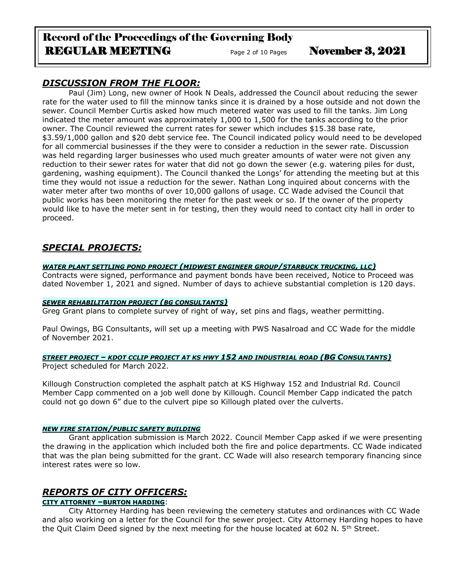# Record of the Proceedings of the Governing Body REGULAR MEETING Page 2 of 10 Pages November 3, 2021

# *DISCUSSION FROM THE FLOOR:*

Paul (Jim) Long, new owner of Hook N Deals, addressed the Council about reducing the sewer rate for the water used to fill the minnow tanks since it is drained by a hose outside and not down the sewer. Council Member Curtis asked how much metered water was used to fill the tanks. Jim Long indicated the meter amount was approximately 1,000 to 1,500 for the tanks according to the prior owner. The Council reviewed the current rates for sewer which includes \$15.38 base rate, \$3.59/1,000 gallon and \$20 debt service fee. The Council indicated policy would need to be developed for all commercial businesses if the they were to consider a reduction in the sewer rate. Discussion was held regarding larger businesses who used much greater amounts of water were not given any reduction to their sewer rates for water that did not go down the sewer (e.g. watering piles for dust, gardening, washing equipment). The Council thanked the Longs' for attending the meeting but at this time they would not issue a reduction for the sewer. Nathan Long inquired about concerns with the water meter after two months of over 10,000 gallons of usage. CC Wade advised the Council that public works has been monitoring the meter for the past week or so. If the owner of the property would like to have the meter sent in for testing, then they would need to contact city hall in order to proceed.

# *SPECIAL PROJECTS:*

## *WATER PLANT SETTLING POND PROJECT (MIDWEST ENGINEER GROUP/STARBUCK TRUCKING, LLC)*

Contracts were signed, performance and payment bonds have been received, Notice to Proceed was dated November 1, 2021 and signed. Number of days to achieve substantial completion is 120 days.

## *SEWER REHABILITATION PROJECT (BG CONSULTANTS)*

Greg Grant plans to complete survey of right of way, set pins and flags, weather permitting.

Paul Owings, BG Consultants, will set up a meeting with PWS Nasalroad and CC Wade for the middle of November 2021.

## *STREET PROJECT – KDOT CCLIP PROJECT AT KS HWY 152 AND INDUSTRIAL ROAD (BG CONSULTANTS)*

Project scheduled for March 2022.

Killough Construction completed the asphalt patch at KS Highway 152 and Industrial Rd. Council Member Capp commented on a job well done by Killough. Council Member Capp indicated the patch could not go down 6" due to the culvert pipe so Killough plated over the culverts.

## *NEW FIRE STATION/PUBLIC SAFETY BUILDING*

Grant application submission is March 2022. Council Member Capp asked if we were presenting the drawing in the application which included both the fire and police departments. CC Wade indicated that was the plan being submitted for the grant. CC Wade will also research temporary financing since interest rates were so low.

# *REPORTS OF CITY OFFICERS:*

## **CITY ATTORNEY –BURTON HARDING**:

City Attorney Harding has been reviewing the cemetery statutes and ordinances with CC Wade and also working on a letter for the Council for the sewer project. City Attorney Harding hopes to have the Quit Claim Deed signed by the next meeting for the house located at 602 N.  $5<sup>th</sup>$  Street.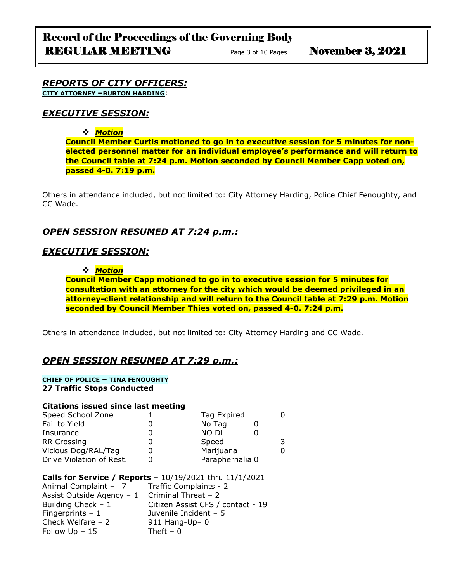### *REPORTS OF CITY OFFICERS:* **CITY ATTORNEY –BURTON HARDING**:

## *EXECUTIVE SESSION:*

## ❖ *Motion*

**Council Member Curtis motioned to go in to executive session for 5 minutes for nonelected personnel matter for an individual employee's performance and will return to the Council table at 7:24 p.m. Motion seconded by Council Member Capp voted on, passed 4-0. 7:19 p.m.** 

Others in attendance included, but not limited to: City Attorney Harding, Police Chief Fenoughty, and CC Wade.

# *OPEN SESSION RESUMED AT 7:24 p.m.:*

## *EXECUTIVE SESSION:*

#### ❖ *Motion*

**Council Member Capp motioned to go in to executive session for 5 minutes for consultation with an attorney for the city which would be deemed privileged in an attorney-client relationship and will return to the Council table at 7:29 p.m. Motion seconded by Council Member Thies voted on, passed 4-0. 7:24 p.m.** 

Others in attendance included, but not limited to: City Attorney Harding and CC Wade.

# *OPEN SESSION RESUMED AT 7:29 p.m.:*

## **CHIEF OF POLICE – TINA FENOUGHTY**

**27 Traffic Stops Conducted**

#### **Citations issued since last meeting**

| Speed School Zone        | Tag Expired     |  |
|--------------------------|-----------------|--|
| Fail to Yield            | No Tag          |  |
| Insurance                | <b>NO DL</b>    |  |
| <b>RR Crossing</b>       | Speed           |  |
| Vicious Dog/RAL/Tag      | Marijuana       |  |
| Drive Violation of Rest. | Paraphernalia 0 |  |

#### **Calls for Service / Reports** – 10/19/2021 thru 11/1/2021

| Animal Complaint - 7      | Traffic Complaints - 2            |
|---------------------------|-----------------------------------|
| Assist Outside Agency - 1 | Criminal Threat - 2               |
| Building Check $-1$       | Citizen Assist CFS / contact - 19 |
| Fingerprints $-1$         | Juvenile Incident $-5$            |
| Check Welfare $-2$        | $911$ Hang-Up- 0                  |
| Follow $Up - 15$          | Theft $-0$                        |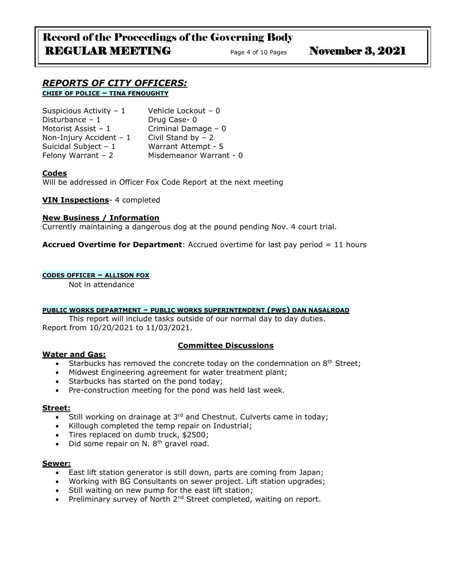# Record of the Proceedings of the Governing Body REGULAR MEETING Page 4 of 10 Pages November 3, 2021

#### *REPORTS OF CITY OFFICERS:* **CHIEF OF POLICE – TINA FENOUGHTY**

| Suspicious Activity - 1  | Vehicle Lockout - 0     |
|--------------------------|-------------------------|
| Disturbance $-1$         | Drug Case-0             |
| Motorist Assist - 1      | Criminal Damage - 0     |
| Non-Injury Accident $-1$ | Civil Stand by $-2$     |
| Suicidal Subject $-1$    | Warrant Attempt - 5     |
| Felony Warrant $-2$      | Misdemeanor Warrant - 0 |

## **Codes**

Will be addressed in Officer Fox Code Report at the next meeting

## **VIN Inspections**- 4 completed

#### **New Business / Information**

Currently maintaining a dangerous dog at the pound pending Nov. 4 court trial.

**Accrued Overtime for Department**: Accrued overtime for last pay period = 11 hours

#### **CODES OFFICER – ALLISON FOX**

Not in attendance

#### **PUBLIC WORKS DEPARTMENT – PUBLIC WORKS SUPERINTENDENT (PWS) DAN NASALROAD**

This report will include tasks outside of our normal day to day duties. Report from 10/20/2021 to 11/03/2021.

#### **Water and Gas:**

## **Committee Discussions**

- Starbucks has removed the concrete today on the condemnation on  $8<sup>th</sup>$  Street;
- Midwest Engineering agreement for water treatment plant;
- Starbucks has started on the pond today;
- Pre-construction meeting for the pond was held last week.

### **Street:**

- Still working on drainage at  $3<sup>rd</sup>$  and Chestnut. Culverts came in today;
- Killough completed the temp repair on Industrial;
- Tires replaced on dumb truck, \$2500;
- Did some repair on N.  $8<sup>th</sup>$  gravel road.

#### **Sewer:**

- East lift station generator is still down, parts are coming from Japan;
- Working with BG Consultants on sewer project. Lift station upgrades;
- Still waiting on new pump for the east lift station;
- Preliminary survey of North 2<sup>nd</sup> Street completed, waiting on report.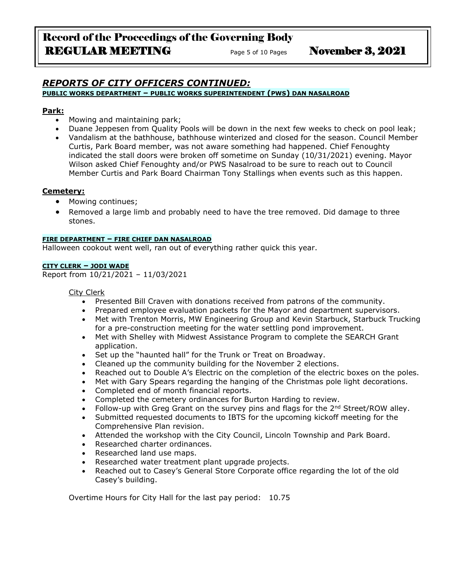### *REPORTS OF CITY OFFICERS CONTINUED:* **PUBLIC WORKS DEPARTMENT – PUBLIC WORKS SUPERINTENDENT (PWS) DAN NASALROAD**

## **Park:**

- Mowing and maintaining park;
- Duane Jeppesen from Quality Pools will be down in the next few weeks to check on pool leak;
- Vandalism at the bathhouse, bathhouse winterized and closed for the season. Council Member Curtis, Park Board member, was not aware something had happened. Chief Fenoughty indicated the stall doors were broken off sometime on Sunday (10/31/2021) evening. Mayor Wilson asked Chief Fenoughty and/or PWS Nasalroad to be sure to reach out to Council Member Curtis and Park Board Chairman Tony Stallings when events such as this happen.

## **Cemetery:**

- Mowing continues;
- Removed a large limb and probably need to have the tree removed. Did damage to three stones.

#### **FIRE DEPARTMENT – FIRE CHIEF DAN NASALROAD**

Halloween cookout went well, ran out of everything rather quick this year.

#### **CITY CLERK – JODI WADE**

Report from 10/21/2021 – 11/03/2021

City Clerk

- Presented Bill Craven with donations received from patrons of the community.
- Prepared employee evaluation packets for the Mayor and department supervisors.
- Met with Trenton Morris, MW Engineering Group and Kevin Starbuck, Starbuck Trucking for a pre-construction meeting for the water settling pond improvement.
- Met with Shelley with Midwest Assistance Program to complete the SEARCH Grant application.
- Set up the "haunted hall" for the Trunk or Treat on Broadway.
- Cleaned up the community building for the November 2 elections.
- Reached out to Double A's Electric on the completion of the electric boxes on the poles.
- Met with Gary Spears regarding the hanging of the Christmas pole light decorations.
- Completed end of month financial reports.
- Completed the cemetery ordinances for Burton Harding to review.
- Follow-up with Greg Grant on the survey pins and flags for the 2<sup>nd</sup> Street/ROW alley.
- Submitted requested documents to IBTS for the upcoming kickoff meeting for the Comprehensive Plan revision.
- Attended the workshop with the City Council, Lincoln Township and Park Board.
- Researched charter ordinances.
- Researched land use maps.
- Researched water treatment plant upgrade projects.
- Reached out to Casey's General Store Corporate office regarding the lot of the old Casey's building.

Overtime Hours for City Hall for the last pay period: 10.75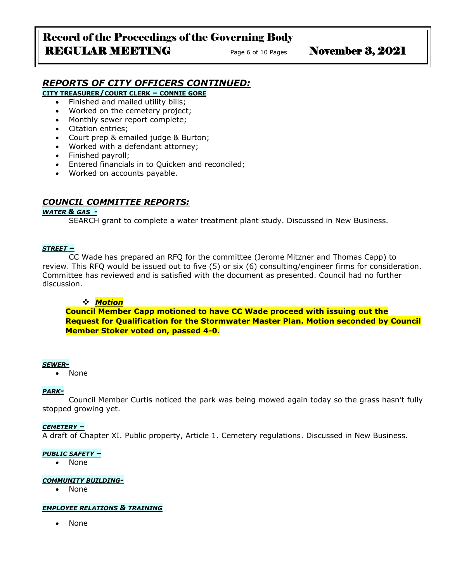# Record of the Proceedings of the Governing Body REGULAR MEETING<br>
Page 6 of 10 Pages November 3, 2021

# *REPORTS OF CITY OFFICERS CONTINUED:*

**CITY TREASURER/COURT CLERK – CONNIE GORE**

- Finished and mailed utility bills;
- Worked on the cemetery project;
- Monthly sewer report complete;
- Citation entries;
- Court prep & emailed judge & Burton;
- Worked with a defendant attorney;
- Finished payroll;
- Entered financials in to Quicken and reconciled;
- Worked on accounts payable.

## *COUNCIL COMMITTEE REPORTS:*

#### *WATER & GAS -*

SEARCH grant to complete a water treatment plant study. Discussed in New Business.

#### *STREET –*

CC Wade has prepared an RFQ for the committee (Jerome Mitzner and Thomas Capp) to review. This RFQ would be issued out to five (5) or six (6) consulting/engineer firms for consideration. Committee has reviewed and is satisfied with the document as presented. Council had no further discussion.

#### ❖ *Motion*

**Council Member Capp motioned to have CC Wade proceed with issuing out the Request for Qualification for the Stormwater Master Plan. Motion seconded by Council Member Stoker voted on, passed 4-0.**

#### *SEWER-*

• None

#### *PARK-*

Council Member Curtis noticed the park was being mowed again today so the grass hasn't fully stopped growing yet.

#### *CEMETERY –*

A draft of Chapter XI. Public property, Article 1. Cemetery regulations. Discussed in New Business.

#### *PUBLIC SAFETY –*

• None

#### *COMMUNITY BUILDING-*

• None

#### *EMPLOYEE RELATIONS & TRAINING*

• None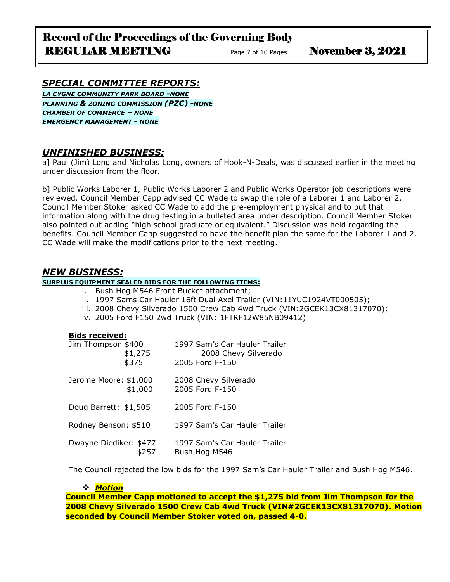# Record of the Proceedings of the Governing Body REGULAR MEETING Page 7 of 10 Pages November 3, 2021

# *SPECIAL COMMITTEE REPORTS:*

*LA CYGNE COMMUNITY PARK BOARD -NONE PLANNING & ZONING COMMISSION (PZC) -NONE CHAMBER OF COMMERCE – NONE EMERGENCY MANAGEMENT - NONE*

# *UNFINISHED BUSINESS:*

a] Paul (Jim) Long and Nicholas Long, owners of Hook-N-Deals, was discussed earlier in the meeting under discussion from the floor.

b] Public Works Laborer 1, Public Works Laborer 2 and Public Works Operator job descriptions were reviewed. Council Member Capp advised CC Wade to swap the role of a Laborer 1 and Laborer 2. Council Member Stoker asked CC Wade to add the pre-employment physical and to put that information along with the drug testing in a bulleted area under description. Council Member Stoker also pointed out adding "high school graduate or equivalent." Discussion was held regarding the benefits. Council Member Capp suggested to have the benefit plan the same for the Laborer 1 and 2. CC Wade will make the modifications prior to the next meeting.

## *NEW BUSINESS:*

### **SURPLUS EQUIPMENT SEALED BIDS FOR THE FOLLOWING ITEMS:**

- i. Bush Hog M546 Front Bucket attachment;
- ii. 1997 Sams Car Hauler 16ft Dual Axel Trailer (VIN:11YUC1924VT000505);
- iii. 2008 Chevy Silverado 1500 Crew Cab 4wd Truck (VIN:2GCEK13CX81317070);
- iv. 2005 Ford F150 2wd Truck (VIN: 1FTRF12W85NB09412)

#### **Bids received:**

| Jim Thompson \$400     | 1997 Sam's Car Hauler Trailer |
|------------------------|-------------------------------|
| \$1,275                | 2008 Chevy Silverado          |
| \$375                  | 2005 Ford F-150               |
| Jerome Moore: \$1,000  | 2008 Chevy Silverado          |
| \$1,000                | 2005 Ford F-150               |
| Doug Barrett: \$1,505  | 2005 Ford F-150               |
| Rodney Benson: \$510   | 1997 Sam's Car Hauler Trailer |
| Dwayne Diediker: \$477 | 1997 Sam's Car Hauler Trailer |
| \$257                  | Bush Hog M546                 |

The Council rejected the low bids for the 1997 Sam's Car Hauler Trailer and Bush Hog M546.

## ❖ *Motion*

**Council Member Capp motioned to accept the \$1,275 bid from Jim Thompson for the 2008 Chevy Silverado 1500 Crew Cab 4wd Truck (VIN#2GCEK13CX81317070). Motion seconded by Council Member Stoker voted on, passed 4-0.**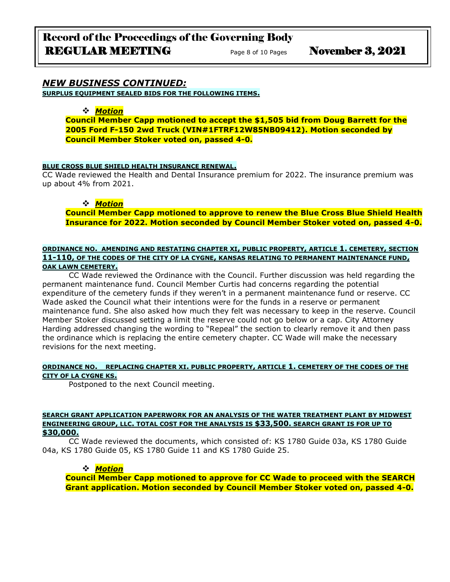### *NEW BUSINESS CONTINUED:* **SURPLUS EQUIPMENT SEALED BIDS FOR THE FOLLOWING ITEMS.**

## ❖ *Motion*

**Council Member Capp motioned to accept the \$1,505 bid from Doug Barrett for the 2005 Ford F-150 2wd Truck (VIN#1FTRF12W85NB09412). Motion seconded by Council Member Stoker voted on, passed 4-0.**

#### **BLUE CROSS BLUE SHIELD HEALTH INSURANCE RENEWAL.**

CC Wade reviewed the Health and Dental Insurance premium for 2022. The insurance premium was up about 4% from 2021.

## ❖ *Motion*

**Council Member Capp motioned to approve to renew the Blue Cross Blue Shield Health Insurance for 2022. Motion seconded by Council Member Stoker voted on, passed 4-0.**

# **ORDINANCE NO. AMENDING AND RESTATING CHAPTER XI, PUBLIC PROPERTY, ARTICLE 1. CEMETERY, SECTION 11-110, OF THE CODES OF THE CITY OF LA CYGNE, KANSAS RELATING TO PERMANENT MAINTENANCE FUND,**

## **OAK LAWN CEMETERY.**

CC Wade reviewed the Ordinance with the Council. Further discussion was held regarding the permanent maintenance fund. Council Member Curtis had concerns regarding the potential expenditure of the cemetery funds if they weren't in a permanent maintenance fund or reserve. CC Wade asked the Council what their intentions were for the funds in a reserve or permanent maintenance fund. She also asked how much they felt was necessary to keep in the reserve. Council Member Stoker discussed setting a limit the reserve could not go below or a cap. City Attorney Harding addressed changing the wording to "Repeal" the section to clearly remove it and then pass the ordinance which is replacing the entire cemetery chapter. CC Wade will make the necessary revisions for the next meeting.

#### **ORDINANCE NO. REPLACING CHAPTER XI. PUBLIC PROPERTY, ARTICLE 1. CEMETERY OF THE CODES OF THE CITY OF LA CYGNE KS.**

Postponed to the next Council meeting.

#### **SEARCH GRANT APPLICATION PAPERWORK FOR AN ANALYSIS OF THE WATER TREATMENT PLANT BY MIDWEST ENGINEERING GROUP, LLC. TOTAL COST FOR THE ANALYSIS IS \$33,500. SEARCH GRANT IS FOR UP TO \$30,000.**

CC Wade reviewed the documents, which consisted of: KS 1780 Guide 03a, KS 1780 Guide 04a, KS 1780 Guide 05, KS 1780 Guide 11 and KS 1780 Guide 25.

## ❖ *Motion*

**Council Member Capp motioned to approve for CC Wade to proceed with the SEARCH Grant application. Motion seconded by Council Member Stoker voted on, passed 4-0.**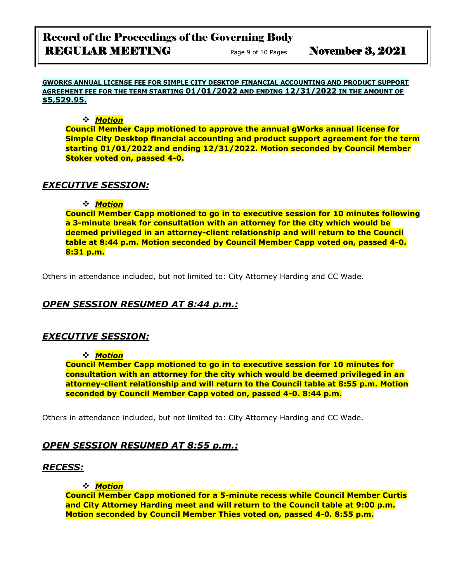# Record of the Proceedings of the Governing Body REGULAR MEETING Page 9 of 10 Pages November 3, 2021

**GWORKS ANNUAL LICENSE FEE FOR SIMPLE CITY DESKTOP FINANCIAL ACCOUNTING AND PRODUCT SUPPORT AGREEMENT FEE FOR THE TERM STARTING 01/01/2022 AND ENDING 12/31/2022 IN THE AMOUNT OF \$5,529.95.**

❖ *Motion* 

**Council Member Capp motioned to approve the annual gWorks annual license for Simple City Desktop financial accounting and product support agreement for the term starting 01/01/2022 and ending 12/31/2022. Motion seconded by Council Member Stoker voted on, passed 4-0.**

# *EXECUTIVE SESSION:*

## ❖ *Motion*

**Council Member Capp motioned to go in to executive session for 10 minutes following a 3-minute break for consultation with an attorney for the city which would be deemed privileged in an attorney-client relationship and will return to the Council table at 8:44 p.m. Motion seconded by Council Member Capp voted on, passed 4-0. 8:31 p.m.** 

Others in attendance included, but not limited to: City Attorney Harding and CC Wade.

# *OPEN SESSION RESUMED AT 8:44 p.m.:*

# *EXECUTIVE SESSION:*

## ❖ *Motion*

**Council Member Capp motioned to go in to executive session for 10 minutes for consultation with an attorney for the city which would be deemed privileged in an attorney-client relationship and will return to the Council table at 8:55 p.m. Motion seconded by Council Member Capp voted on, passed 4-0. 8:44 p.m.** 

Others in attendance included, but not limited to: City Attorney Harding and CC Wade.

# *OPEN SESSION RESUMED AT 8:55 p.m.:*

## *RECESS:*

## ❖ *Motion*

**Council Member Capp motioned for a 5-minute recess while Council Member Curtis and City Attorney Harding meet and will return to the Council table at 9:00 p.m. Motion seconded by Council Member Thies voted on, passed 4-0. 8:55 p.m.**